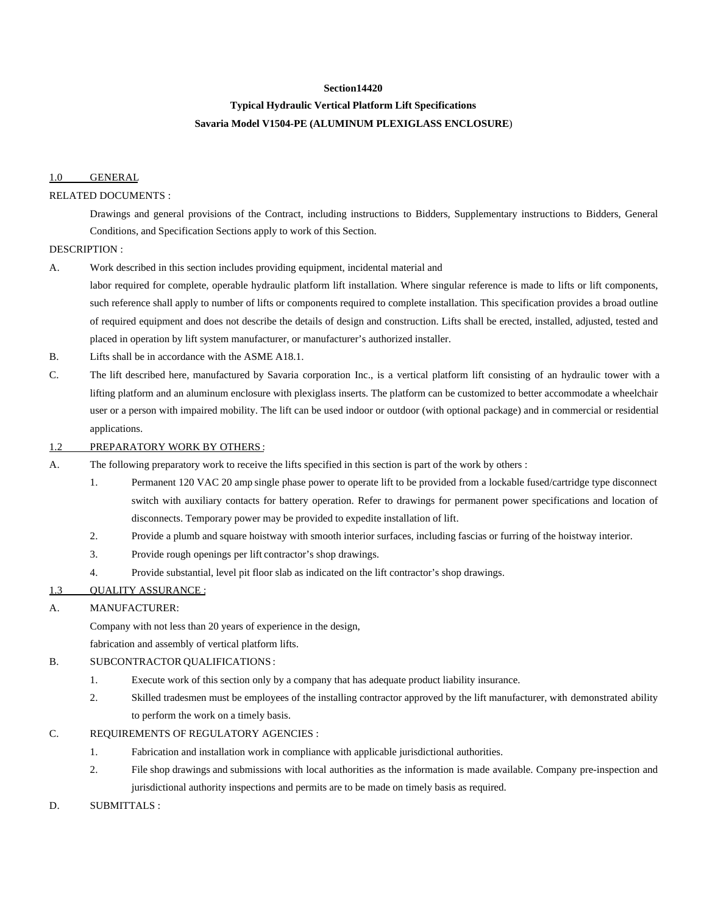#### **Section14420**

# **Typical Hydraulic Vertical Platform Lift Specifications**

# **Savaria Model V1504-PE (ALUMINUM PLEXIGLASS ENCLOSURE**)

### 1.0 GENERAL

### RELATED DOCUMENTS :

Drawings and general provisions of the Contract, including instructions to Bidders, Supplementary instructions to Bidders, General Conditions, and Specification Sections apply to work of this Section.

#### DESCRIPTION :

A. Work described in this section includes providing equipment, incidental material and

labor required for complete, operable hydraulic platform lift installation. Where singular reference is made to lifts or lift components, such reference shall apply to number of lifts or components required to complete installation. This specification provides a broad outline of required equipment and does not describe the details of design and construction. Lifts shall be erected, installed, adjusted, tested and placed in operation by lift system manufacturer, or manufacturer's authorized installer.

- B. Lifts shall be in accordance with the ASME A18.1.
- C. The lift described here, manufactured by Savaria corporation Inc., is a vertical platform lift consisting of an hydraulic tower with a lifting platform and an aluminum enclosure with plexiglass inserts. The platform can be customized to better accommodate a wheelchair user or a person with impaired mobility. The lift can be used indoor or outdoor (with optional package) and in commercial or residential applications.

#### 1.2 PREPARATORY WORK BY OTHERS :

- A. The following preparatory work to receive the lifts specified in this section is part of the work by others :
	- 1. Permanent 120 VAC 20 amp single phase power to operate lift to be provided from a lockable fused/cartridge type disconnect switch with auxiliary contacts for battery operation. Refer to drawings for permanent power specifications and location of disconnects. Temporary power may be provided to expedite installation of lift.
	- 2. Provide a plumb and square hoistway with smooth interior surfaces, including fascias or furring of the hoistway interior.
	- 3. Provide rough openings per lift contractor's shop drawings.
	- 4. Provide substantial, level pit floor slab as indicated on the lift contractor's shop drawings.

# 1.3 QUALITY ASSURANCE :

#### A. MANUFACTURER:

Company with not less than 20 years of experience in the design,

fabrication and assembly of vertical platform lifts.

# B. SUBCONTRACTOR QUALIFICATIONS :

- 1. Execute work of this section only by a company that has adequate product liability insurance.
- 2. Skilled tradesmen must be employees of the installing contractor approved by the lift manufacturer, with demonstrated ability to perform the work on a timely basis.

#### C. REQUIREMENTS OF REGULATORY AGENCIES :

- 1. Fabrication and installation work in compliance with applicable jurisdictional authorities.
- 2. File shop drawings and submissions with local authorities as the information is made available. Company pre-inspection and jurisdictional authority inspections and permits are to be made on timely basis as required.

# D. SUBMITTALS :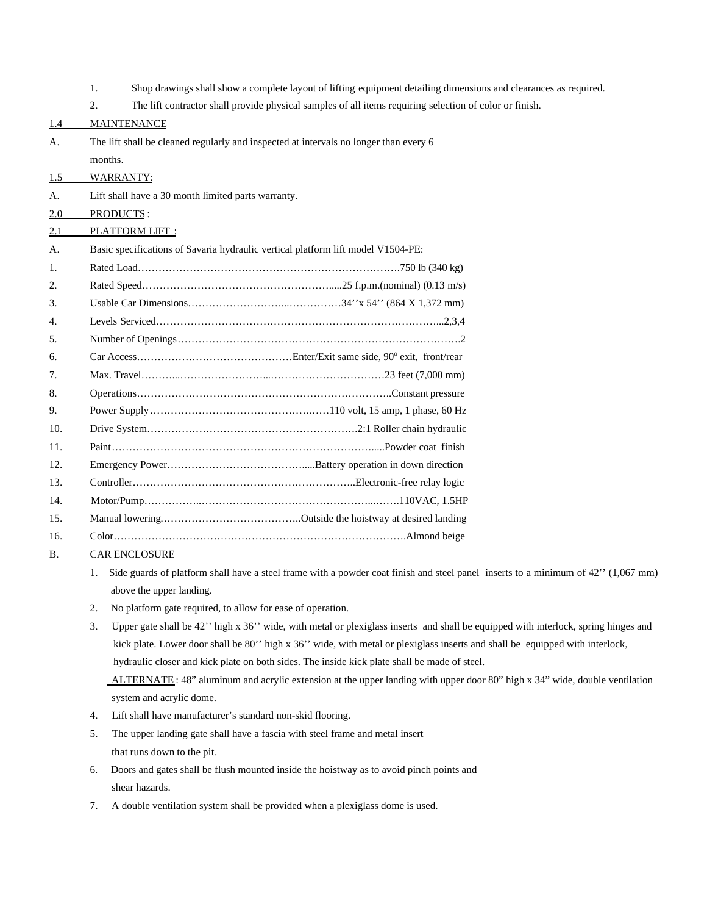1. Shop drawings shall show a complete layout of lifting equipment detailing dimensions and clearances as required. 2. The lift contractor shall provide physical samples of all items requiring selection of color or finish. 1.4 MAINTENANCE A. The lift shall be cleaned regularly and inspected at intervals no longer than every 6 months. 1.5 WARRANTY: A. Lift shall have a 30 month limited parts warranty. 2.0 PRODUCTS : 2.1 PLATFORM LIFT : A. Basic specifications of Savaria hydraulic vertical platform lift model V1504-PE: 1. Rated Load………………………………………………………………….750 lb (340 kg) 2. Rated Speed……………………………………………….....25 f.p.m.(nominal) (0.13 m/s) 3. Usable Car Dimensions………………………...……………34''x 54'' (864 X 1,372 mm) 4. Levels Serviced………………………………………………………………………...2,3,4 5. Number of Openings……………………………………………………………………….2 6. Car Access………………………………………Enter/Exit same side, 90<sup>o</sup> exit, front/rear 7. Max. Travel………...……………………...……………………………23 feet (7,000 mm) 8. Operations………………………………………………………………..Constant pressure 9. Power Supply……………………………………….……110 volt, 15 amp, 1 phase, 60 Hz 10. Drive System…………………………………………………….2:1 Roller chain hydraulic 11. Paint………………………………………………………………….....Powder coat finish 12. Emergency Power………………………………….....Battery operation in down direction 13. Controller………………………………………………………..Electronic-free relay logic 14. Motor/Pump……………..…………………………………………...…….110VAC, 1.5HP 15. Manual lowering…………………………………..Outside the hoistway at desired landing 16. Color………………………………………………………………………….Almond beige B. CAR ENCLOSURE 1. Side guards of platform shall have a steel frame with a powder coat finish and steel panel inserts to a minimum of 42'' (1,067 mm) above the upper landing. 2. No platform gate required, to allow for ease of operation. 3. Upper gate shall be 42'' high x 36'' wide, with metal or plexiglass inserts and shall be equipped with interlock, spring hinges and kick plate. Lower door shall be 80'' high x 36'' wide, with metal or plexiglass inserts and shall be equipped with interlock, hydraulic closer and kick plate on both sides. The inside kick plate shall be made of steel. ALTERNATE: 48" aluminum and acrylic extension at the upper landing with upper door 80" high x 34" wide, double ventilation system and acrylic dome. 4. Lift shall have manufacturer's standard non-skid flooring. 5. The upper landing gate shall have a fascia with steel frame and metal insert that runs down to the pit. 6. Doors and gates shall be flush mounted inside the hoistway as to avoid pinch points and shear hazards. 7. A double ventilation system shall be provided when a plexiglass dome is used.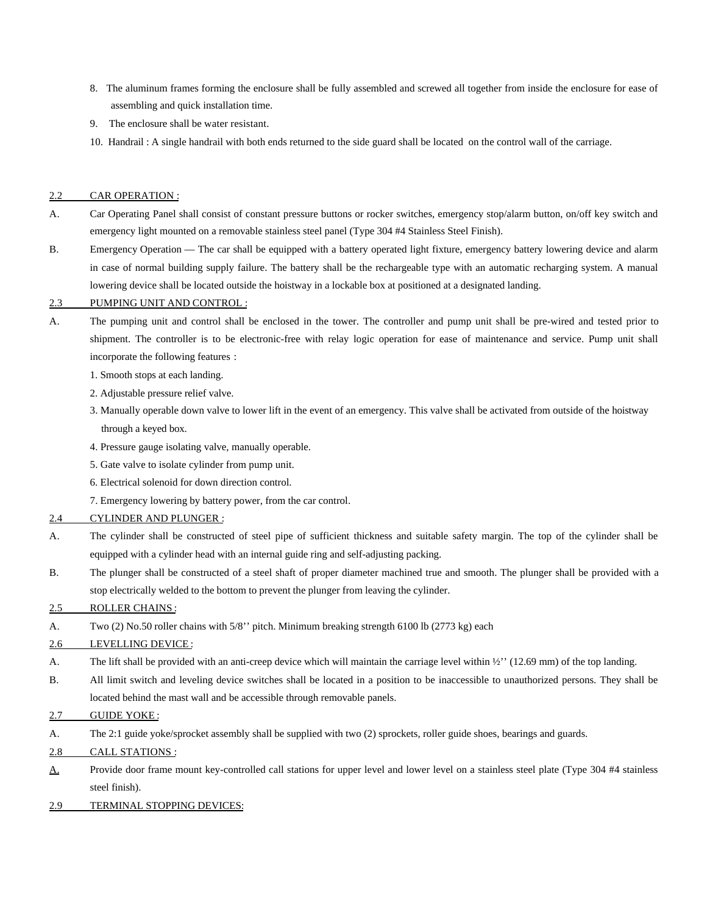- 8. The aluminum frames forming the enclosure shall be fully assembled and screwed all together from inside the enclosure for ease of assembling and quick installation time.
- 9. The enclosure shall be water resistant.
- 10. Handrail : A single handrail with both ends returned to the side guard shall be located on the control wall of the carriage.

### 2.2 CAR OPERATION :

- A. Car Operating Panel shall consist of constant pressure buttons or rocker switches, emergency stop/alarm button, on/off key switch and emergency light mounted on a removable stainless steel panel (Type 304 #4 Stainless Steel Finish).
- B. Emergency Operation The car shall be equipped with a battery operated light fixture, emergency battery lowering device and alarm in case of normal building supply failure. The battery shall be the rechargeable type with an automatic recharging system. A manual lowering device shall be located outside the hoistway in a lockable box at positioned at a designated landing.

#### 2.3 PUMPING UNIT AND CONTROL :

- A. The pumping unit and control shall be enclosed in the tower. The controller and pump unit shall be pre-wired and tested prior to shipment. The controller is to be electronic-free with relay logic operation for ease of maintenance and service. Pump unit shall incorporate the following features :
	- 1. Smooth stops at each landing.
	- 2. Adjustable pressure relief valve.
	- 3. Manually operable down valve to lower lift in the event of an emergency. This valve shall be activated from outside of the hoistway through a keyed box.
	- 4. Pressure gauge isolating valve, manually operable.
	- 5. Gate valve to isolate cylinder from pump unit.
	- 6. Electrical solenoid for down direction control.
	- 7. Emergency lowering by battery power, from the car control.

# 2.4 CYLINDER AND PLUNGER :

- A. The cylinder shall be constructed of steel pipe of sufficient thickness and suitable safety margin. The top of the cylinder shall be equipped with a cylinder head with an internal guide ring and self-adjusting packing.
- B. The plunger shall be constructed of a steel shaft of proper diameter machined true and smooth. The plunger shall be provided with a stop electrically welded to the bottom to prevent the plunger from leaving the cylinder.

#### 2.5 ROLLER CHAINS:

A. Two (2) No.50 roller chains with 5/8'' pitch. Minimum breaking strength 6100 lb (2773 kg) each

#### 2.6 LEVELLING DEVICE :

- A. The lift shall be provided with an anti-creep device which will maintain the carriage level within  $\frac{1}{2}$  (12.69 mm) of the top landing.
- B. All limit switch and leveling device switches shall be located in a position to be inaccessible to unauthorized persons. They shall be located behind the mast wall and be accessible through removable panels.

#### 2.7 GUIDE YOKE :

- A. The 2:1 guide yoke/sprocket assembly shall be supplied with two (2) sprockets, roller guide shoes, bearings and guards.
- 2.8 CALL STATIONS :
- A. Provide door frame mount key-controlled call stations for upper level and lower level on a stainless steel plate (Type 304 #4 stainless steel finish).
- 2.9 TERMINAL STOPPING DEVICES: